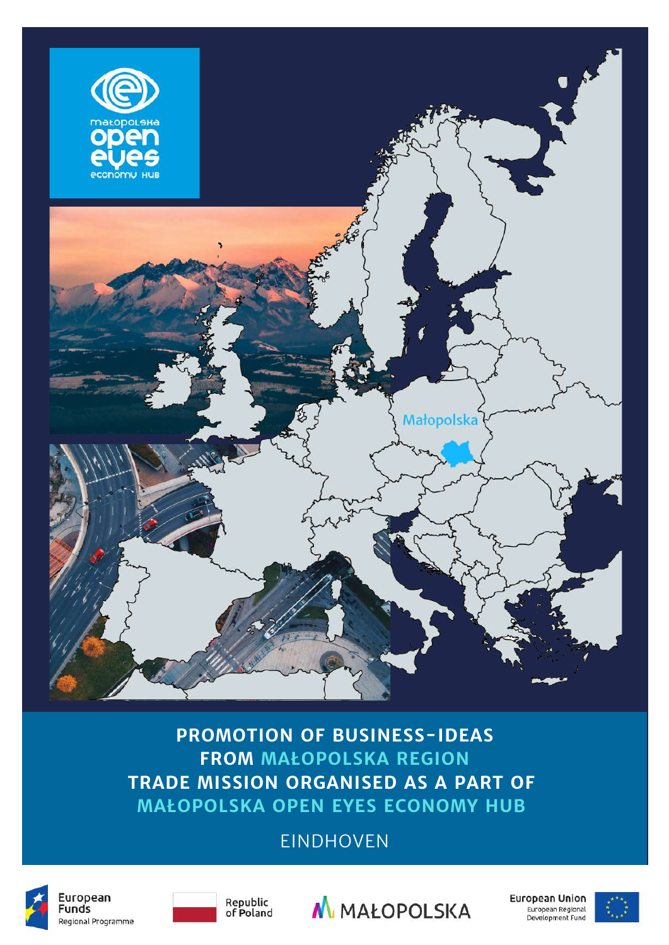

**PROMOTION OF BUSINESS-IDEAS FROM MAŁOPOLSKA REGION TRADE MISSION ORGANISED AS A PART OF MAŁOPOLSKA OPEN EYES ECONOMY HUB**

#### EINDHOVEN







**European Union** European Regional<br>Development Fund

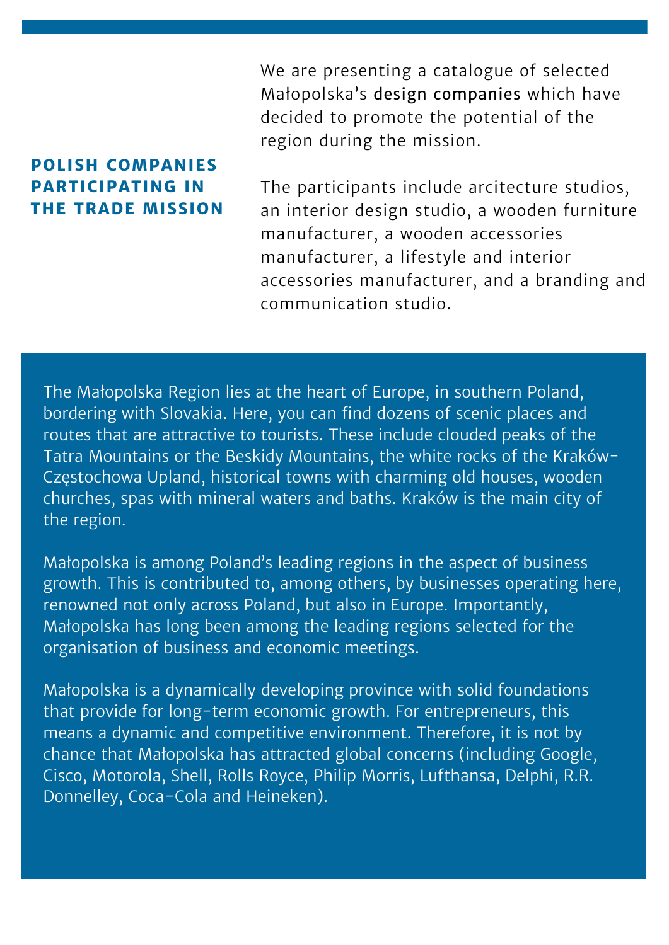We are presenting a catalogue of selected Małopolska's design companies which have decided to promote the potential of the region during the mission.

#### **POLISH COMPANIES PARTICIPATING IN THE TRADE MISSION**

The participants include arcitecture studios, an interior design studio, a wooden furniture manufacturer, a wooden accessories manufacturer, a lifestyle and interior accessories manufacturer, and a branding and communication studio.

The Małopolska Region lies at the heart of Europe, in southern Poland, bordering with Slovakia. Here, you can find dozens of scenic places and routes that are attractive to tourists. These include clouded peaks of the Tatra Mountains or the Beskidy Mountains, the white rocks of the Kraków-Częstochowa Upland, historical towns with charming old houses, wooden churches, spas with mineral waters and baths. Kraków is the main city of the region.

Małopolska is among Poland's leading regions in the aspect of business growth. This is contributed to, among others, by businesses operating here, renowned not only across Poland, but also in Europe. Importantly, Małopolska has long been among the leading regions selected for the organisation of business and economic meetings.

Małopolska is a dynamically developing province with solid foundations that provide for long-term economic growth. For entrepreneurs, this means a dynamic and competitive environment. Therefore, it is not by chance that Małopolska has attracted global concerns (including Google, Cisco, Motorola, Shell, Rolls Royce, Philip Morris, Lufthansa, Delphi, R.R. Donnelley, Coca-Cola and Heineken).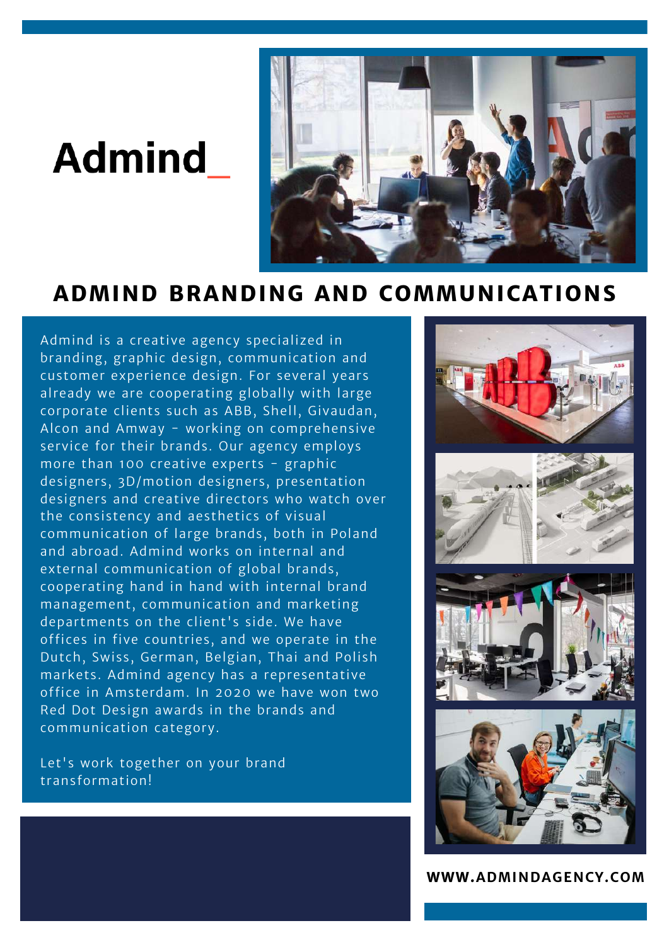### **Admind**



#### **ADMIND BRANDING AND COMMUNICATIONS**

Admind is a creative agency specialized in branding, graphic design, communication and customer experience design. For several years already we are cooperating globally with large corporate clients such as ABB, Shell, Givaudan, Alcon and Amway - working on comprehensive service for their brands. Our agency employs more than 100 creative experts - graphic designers, 3D/motion designers, presentation designers and creative directors who watch over the consistency and aesthetics of visual communication of large brands, both in Poland and abroad. Admind works on internal and external communication of global brands, cooperating hand in hand with internal brand management, communication and marketing departments on the client's side. We have offices in five countries, and we operate in the Dutch, Swiss, German, Belgian, Thai and Polish markets. Admind agency has a representative office in Amsterdam. In 2020 we have won two Red Dot Design awards in the brands and communication category.

Let's work together on your brand transformation!



**WWW.ADMINDAGENCY.COM**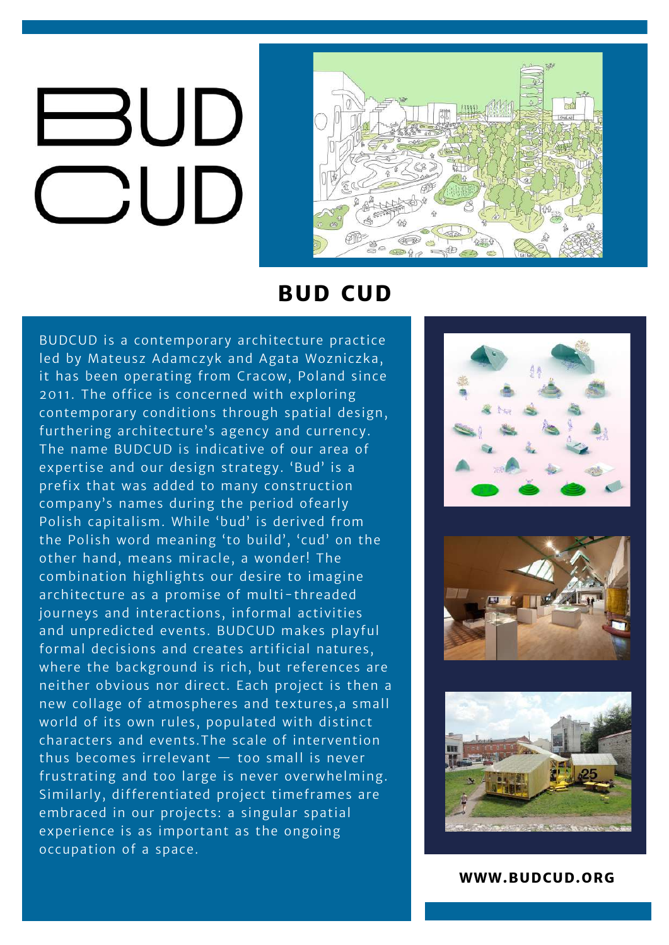## **BUD**  $\bigcirc$ UD



#### **BUD CUD**

BUDCUD is a contemporary architecture practice led by Mateusz Adamczyk and Agata Wozniczka, it has been operating from Cracow, Poland since 2011. The office is concerned with exploring contemporary conditions through spatial design, furthering architecture's agency and currency. The name BUDCUD is indicative of our area of expertise and our design strategy. 'Bud' is a prefix that was added to many construction company's names during the period ofearly Polish capitalism. While 'bud' is derived from the Polish word meaning 'to build', 'cud' on the other hand, means miracle, a wonder! The combination highlights our desire to imagine architecture as a promise of multi-threaded journeys and interactions, informal activities and unpredicted events. BUDCUD makes playful formal decisions and creates artificial natures, where the background is rich, but references are neither obvious nor direct. Each project is then a new collage of atmospheres and textures,a small world of its own rules, populated with distinct characters and events.The scale of intervention thus becomes irrelevant — too small is never frustrating and too large is never overwhelming. Similarly, differentiated project timeframes are embraced in our projects: a singular spatial experience is as important as the ongoing occupation of a space.







#### **WWW.BUDCUD.ORG**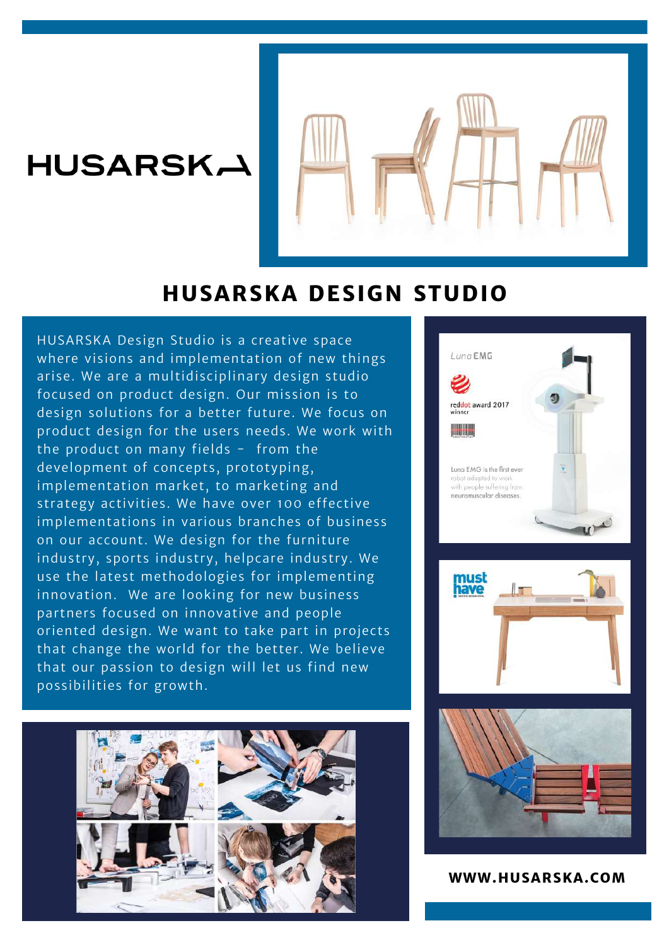#### **HUSARSKA**



#### **HUSARSKA DESIGN STUDIO**

HUSARSKA Design Studio is a creative space where visions and implementation of new things arise. We are a multidisciplinary design studio focused on product design. Our mission is to design solutions for a better future. We focus on product design for the users needs. We work with the product on many fields - from the development of concepts, prototyping, implementation market, to marketing and strategy activities. We have over 100 effective implementations in various branches of business on our account. We design for the furniture industry, sports industry, helpcare industry. We use the latest methodologies for implementing innovation. We are looking for new business partners focused on innovative and people oriented design. We want to take part in projects that change the world for the better. We believe that our passion to design will let us find new possibilities for growth.









**WWW.HUSARSKA.COM**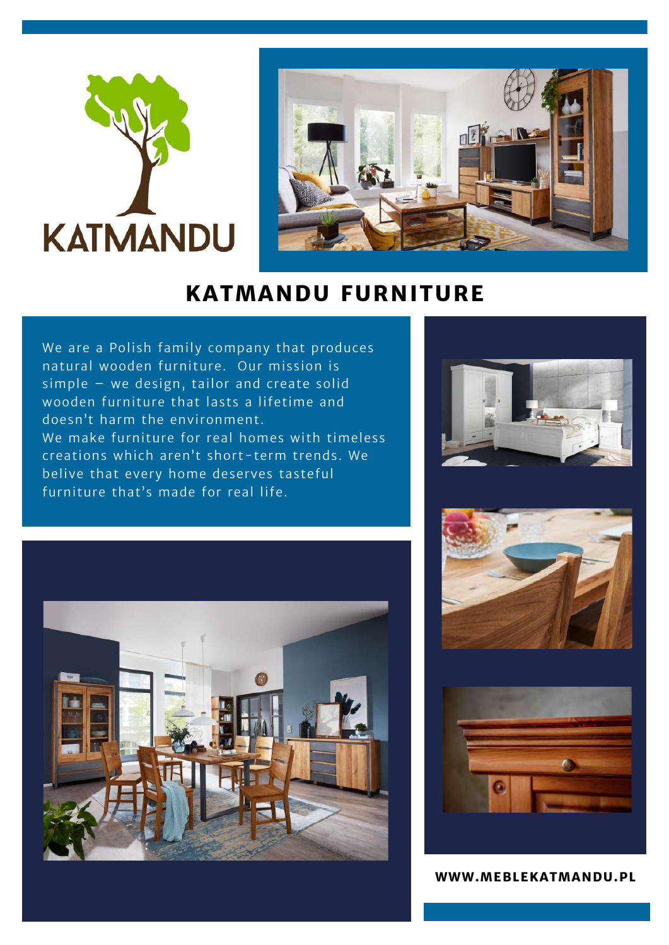



#### **KATMANDU FURNITURE**

We are a Polish family company that produces natural wooden furniture. Our mission is simple – we design, tailor and create solid wooden furniture that lasts a lifetime and doesn't harm the environment. We make furniture for real homes with timeless creations which aren't short-term trends. We belive that every home deserves tasteful furniture that's made for real life.









**WWW.MEBLEKATMANDU.PL**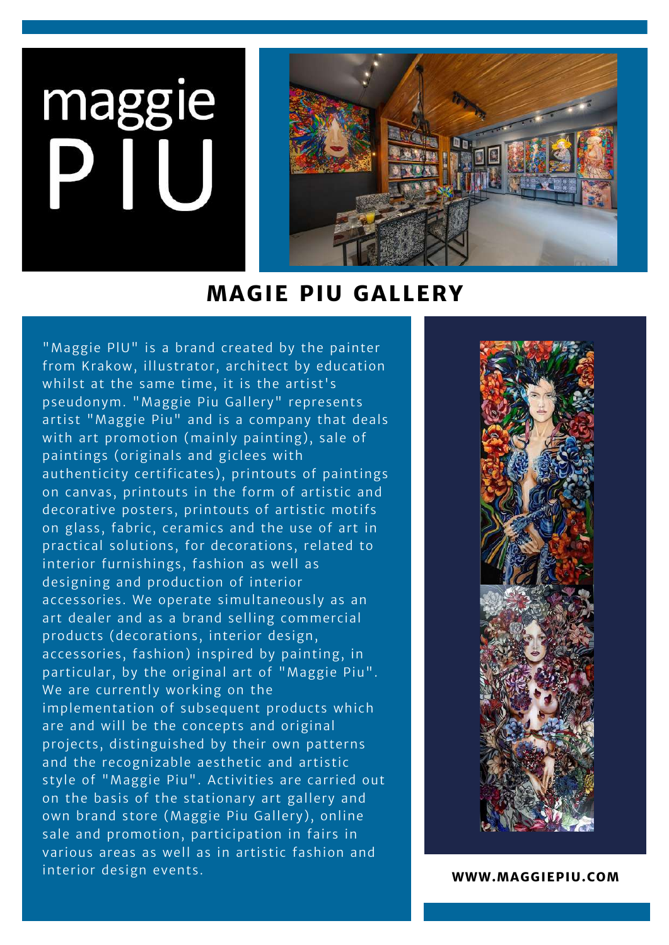# maggie



#### **MAGIE PIU GALLERY**

"Maggie PlU" is a brand created by the painter from Krakow, illustrator, architect by education whilst at the same time, it is the artist's pseudonym. "Maggie Piu Gallery" represents artist "Maggie Piu" and is a company that deals with art promotion (mainly painting), sale of paintings (originals and giclees with authenticity certificates), printouts of paintings on canvas, printouts in the form of artistic and decorative posters, printouts of artistic motifs on glass, fabric, ceramics and the use of art in practical solutions, for decorations, related to interior furnishings, fashion as well as designing and production of interior accessories. We operate simultaneously as an art dealer and as a brand selling commercial products (decorations, interior design, accessories, fashion) inspired by painting, in particular, by the original art of "Maggie Piu". We are currently working on the implementation of subsequent products which are and will be the concepts and original projects, distinguished by their own patterns and the recognizable aesthetic and artistic style of "Maggie Piu". Activities are carried out on the basis of the stationary art gallery and own brand store (Maggie Piu Gallery), online sale and promotion, participation in fairs in various areas as well as in artistic fashion and interior design events.



**WWW.MAGGIEPIU.COM**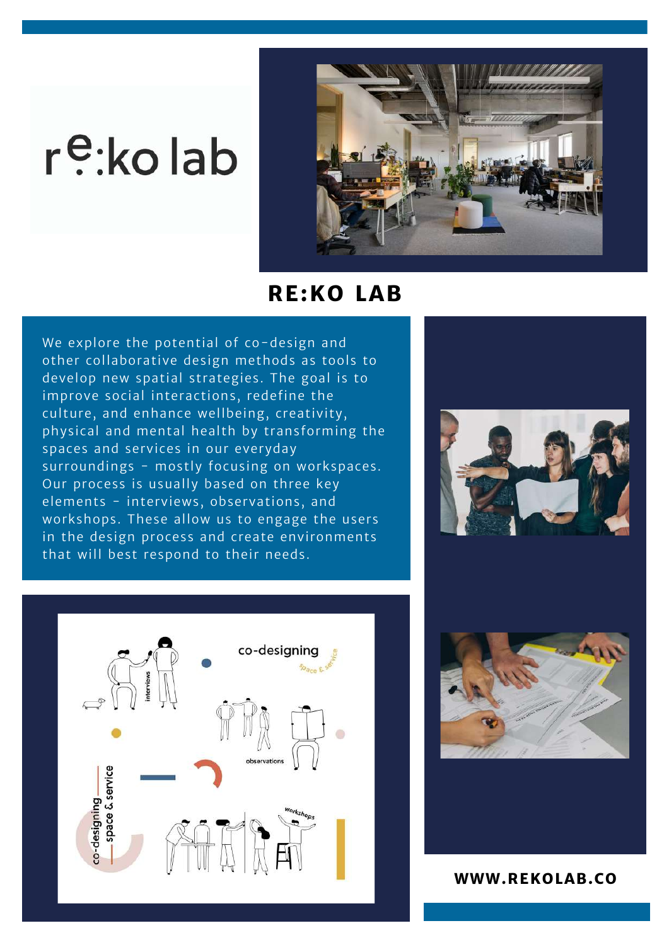### r<sup>e</sup>:kolab



#### **RE:KO LAB**

We explore the potential of co-design and other collaborative design methods as tools to develop new spatial strategies. The goal is to improve social interactions, redefine the culture, and enhance wellbeing, creativity, physical and mental health by transforming the spaces and services in our everyday surroundings - mostly focusing on workspaces. Our process is usually based on three key elements - interviews, observations, and workshops. These allow us to engage the users in the design process and create environments that will best respond to their needs.







**WWW.REKOLAB.CO**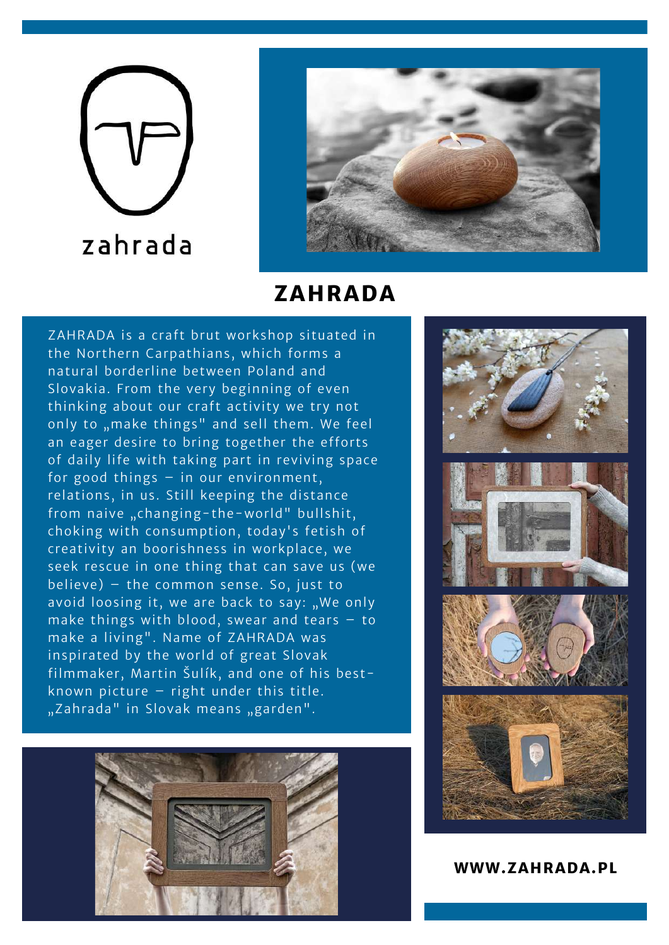# zahrada



#### **ZAHRADA**

ZAHRADA is a craft brut workshop situated in the Northern Carpathians, which forms a natural borderline between Poland and Slovakia. From the very beginning of even thinking about our craft activity we try not only to "make things" and sell them. We feel an eager desire to bring together the efforts of daily life with taking part in reviving space for good things – in our environment, relations, in us. Still keeping the distance from naive "changing-the-world" bullshit, choking with consumption, today's fetish of creativity an boorishness in workplace, we seek rescue in one thing that can save us (we believe) – the common sense. So, just to avoid loosing it, we are back to say: "We only make things with blood, swear and tears – to make a living". Name of ZAHRADA was inspirated by the world of great Slovak filmmaker, Martin Šulík, and one of his bestknown picture – right under this title. "Zahrada" in Slovak means "garden".





**WWW.ZAHRADA.PL**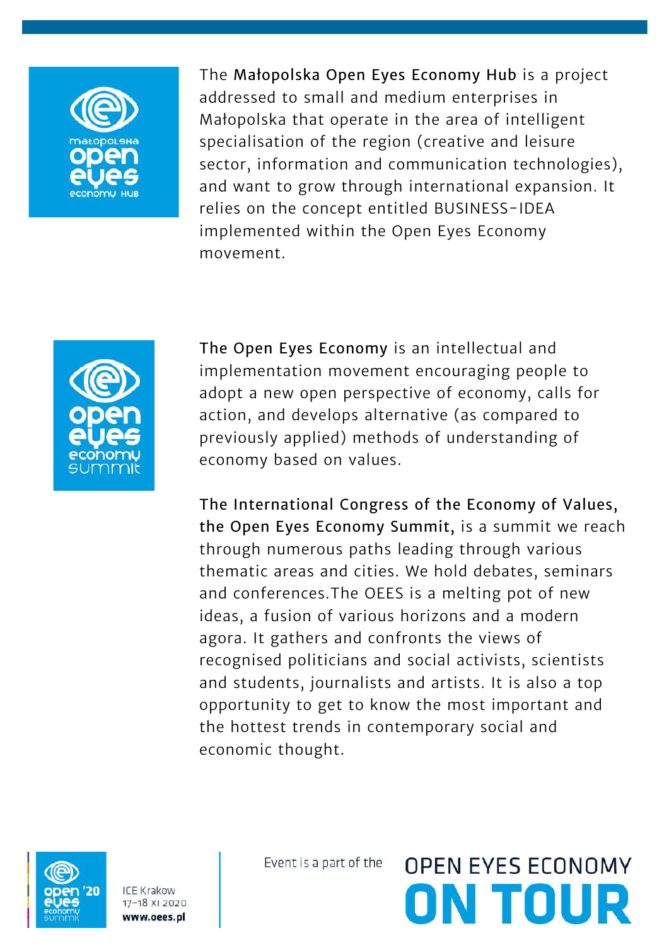

The Małopolska Open Eyes Economy Hub is a project addressed to small and medium enterprises in Małopolska that operate in the area of intelligent specialisation of the region (creative and leisure sector, information and communication technologies), and want to grow through international expansion. It relies on the concept entitled BUSINESS-IDEA implemented within the Open Eyes Economy movement.



The Open Eyes Economy is an intellectual and implementation movement encouraging people to adopt a new open perspective of economy, calls for action, and develops alternative (as compared to previously applied) methods of understanding of economy based on values.

The International Congress of the Economy of Values, the Open Eyes Economy Summit, is a summit we reach through numerous paths leading through various thematic areas and cities. We hold debates, seminars and conferences.The OEES is a melting pot of new ideas, a fusion of various horizons and a modern agora. It gathers and confronts the views of recognised politicians and social activists, scientists and students, journalists and artists. It is also a top opportunity to get to know the most important and the hottest trends in contemporary social and economic thought.



**ICE Krakow** 17-18 XI 2020 www.oees.pl

Event is a part of the